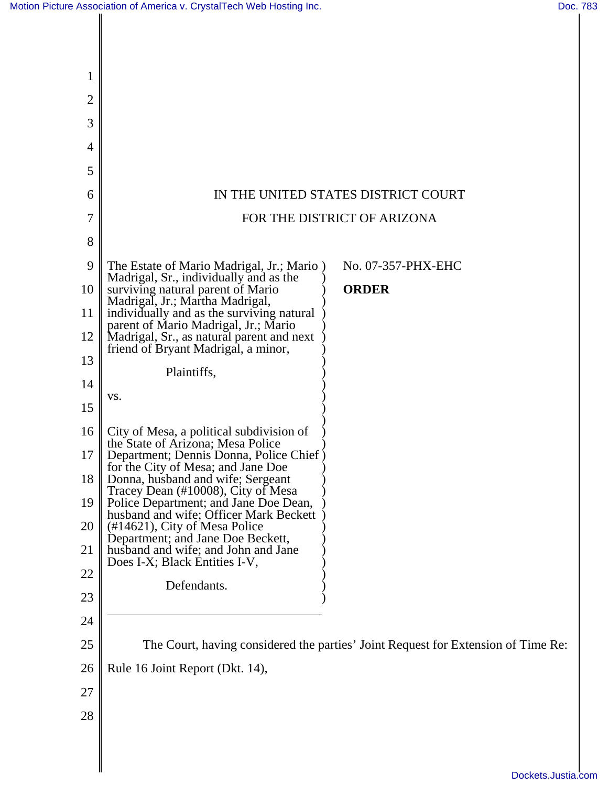| 1              |                                                                                                           |                                                                                   |
|----------------|-----------------------------------------------------------------------------------------------------------|-----------------------------------------------------------------------------------|
| $\overline{2}$ |                                                                                                           |                                                                                   |
| 3              |                                                                                                           |                                                                                   |
| 4              |                                                                                                           |                                                                                   |
| 5              |                                                                                                           |                                                                                   |
| 6              |                                                                                                           | IN THE UNITED STATES DISTRICT COURT                                               |
| 7              | FOR THE DISTRICT OF ARIZONA                                                                               |                                                                                   |
| 8              |                                                                                                           |                                                                                   |
| 9              | The Estate of Mario Madrigal, Jr.; Mario)<br>Madrigal, Sr., individually and as the                       | No. 07-357-PHX-EHC                                                                |
| 10             | surviving natural parent of Mario<br>Madrigal, Jr.; Martha Madrigal,                                      | <b>ORDER</b>                                                                      |
| 11             | individually and as the surviving natural<br>parent of Mario Madrigal, Jr.; Mario                         |                                                                                   |
| 12             | Madrigal, Sr., as natural parent and next<br>friend of Bryant Madrigal, a minor,                          |                                                                                   |
| 13             | Plaintiffs,                                                                                               |                                                                                   |
| 14             | VS.                                                                                                       |                                                                                   |
| 15             |                                                                                                           |                                                                                   |
| 16             | City of Mesa, a political subdivision of<br>the State of Arizona; Mesa Police                             |                                                                                   |
| 17             | Department; Dennis Donna, Police Chief)<br>for the City of Mesa; and Jane Doe                             |                                                                                   |
| 18             | Donna, husband and wife; Sergeant<br>Tracey Dean (#10008), City of Mesa                                   |                                                                                   |
| 19             | Police Department; and Jane Doe Dean,<br>husband and wife; Officer Mark Beckett                           |                                                                                   |
| 20<br>21       | (#14621), City of Mesa Police<br>Department; and Jane Doe Beckett,<br>husband and wife; and John and Jane |                                                                                   |
| 22             | Does I-X; Black Entities I-V,                                                                             |                                                                                   |
| 23             | Defendants.                                                                                               |                                                                                   |
| 24             |                                                                                                           |                                                                                   |
| 25             |                                                                                                           | The Court, having considered the parties' Joint Request for Extension of Time Re: |
| 26             | Rule 16 Joint Report (Dkt. 14),                                                                           |                                                                                   |
| 27             |                                                                                                           |                                                                                   |
| 28             |                                                                                                           |                                                                                   |
|                |                                                                                                           |                                                                                   |